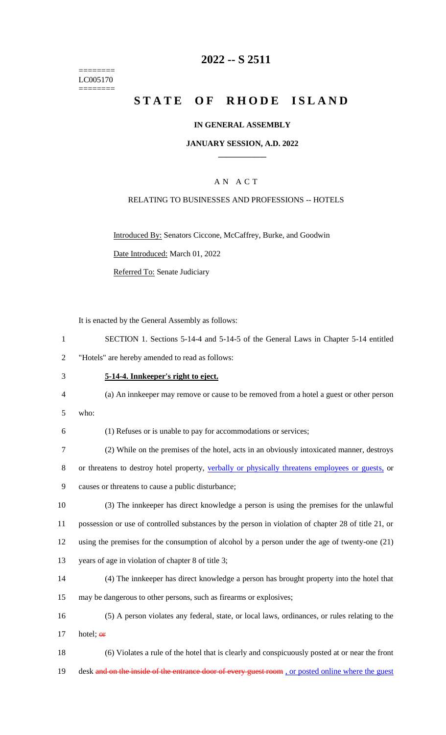======== LC005170 ========

## **2022 -- S 2511**

# **STATE OF RHODE ISLAND**

#### **IN GENERAL ASSEMBLY**

#### **JANUARY SESSION, A.D. 2022 \_\_\_\_\_\_\_\_\_\_\_\_**

## A N A C T

#### RELATING TO BUSINESSES AND PROFESSIONS -- HOTELS

Introduced By: Senators Ciccone, McCaffrey, Burke, and Goodwin

Date Introduced: March 01, 2022

Referred To: Senate Judiciary

It is enacted by the General Assembly as follows:

| SECTION 1. Sections 5-14-4 and 5-14-5 of the General Laws in Chapter 5-14 entitled |
|------------------------------------------------------------------------------------|
| "Hotels" are hereby amended to read as follows:                                    |

3 **5-14-4. Innkeeper's right to eject.**

4 (a) An innkeeper may remove or cause to be removed from a hotel a guest or other person

5 who:

6 (1) Refuses or is unable to pay for accommodations or services;

7 (2) While on the premises of the hotel, acts in an obviously intoxicated manner, destroys 8 or threatens to destroy hotel property, verbally or physically threatens employees or guests, or 9 causes or threatens to cause a public disturbance;

 (3) The innkeeper has direct knowledge a person is using the premises for the unlawful possession or use of controlled substances by the person in violation of chapter 28 of title 21, or using the premises for the consumption of alcohol by a person under the age of twenty-one (21) years of age in violation of chapter 8 of title 3;

- 14 (4) The innkeeper has direct knowledge a person has brought property into the hotel that 15 may be dangerous to other persons, such as firearms or explosives;
- 16 (5) A person violates any federal, state, or local laws, ordinances, or rules relating to the 17 hotel:  $er$

18 (6) Violates a rule of the hotel that is clearly and conspicuously posted at or near the front 19 desk and on the inside of the entrance door of every guest room, or posted online where the guest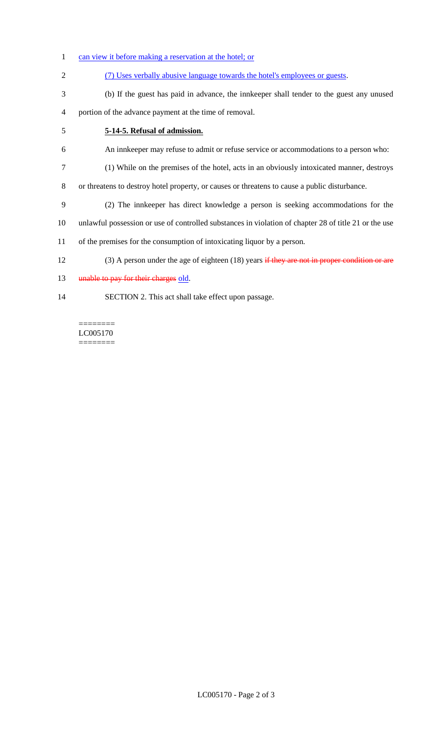- 1 can view it before making a reservation at the hotel; or
- (7) Uses verbally abusive language towards the hotel's employees or guests.
- (b) If the guest has paid in advance, the innkeeper shall tender to the guest any unused portion of the advance payment at the time of removal.
- **5-14-5. Refusal of admission.**
- An innkeeper may refuse to admit or refuse service or accommodations to a person who:
- (1) While on the premises of the hotel, acts in an obviously intoxicated manner, destroys
- or threatens to destroy hotel property, or causes or threatens to cause a public disturbance.
- (2) The innkeeper has direct knowledge a person is seeking accommodations for the
- unlawful possession or use of controlled substances in violation of chapter 28 of title 21 or the use
- of the premises for the consumption of intoxicating liquor by a person.
- 12 (3) A person under the age of eighteen (18) years if they are not in proper condition or are
- 13 unable to pay for their charges old.
- SECTION 2. This act shall take effect upon passage.

======== LC005170 ========